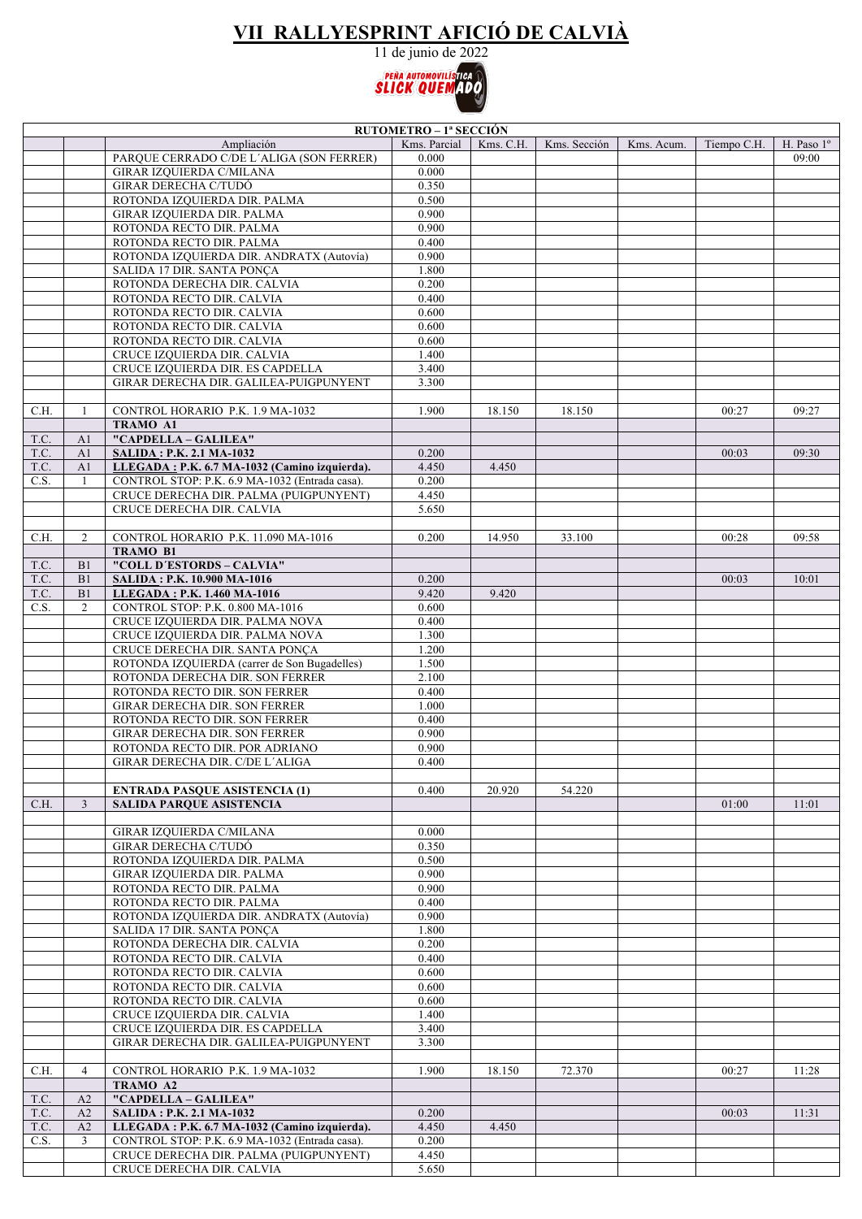## **VII RALLYESPRINT AFICIÓ DE CALVIÀ**

11 de junio de 2022



| <b>RUTOMETRO – 1ª SECCIÓN</b> |                |                                                                                                 |                |           |              |            |             |            |
|-------------------------------|----------------|-------------------------------------------------------------------------------------------------|----------------|-----------|--------------|------------|-------------|------------|
|                               |                | Ampliación                                                                                      | Kms. Parcial   | Kms. C.H. | Kms. Sección | Kms. Acum. | Tiempo C.H. | H. Paso 1° |
|                               |                | PARQUE CERRADO C/DE L'ALIGA (SON FERRER)                                                        | 0.000          |           |              |            |             | 09:00      |
|                               |                | <b>GIRAR IZQUIERDA C/MILANA</b>                                                                 | 0.000          |           |              |            |             |            |
|                               |                | GIRAR DERECHA C/TUDÓ                                                                            | 0.350          |           |              |            |             |            |
|                               |                | ROTONDA IZQUIERDA DIR. PALMA                                                                    | 0.500          |           |              |            |             |            |
|                               |                | GIRAR IZQUIERDA DIR. PALMA                                                                      | 0.900<br>0.900 |           |              |            |             |            |
|                               |                | ROTONDA RECTO DIR. PALMA<br>ROTONDA RECTO DIR. PALMA                                            | 0.400          |           |              |            |             |            |
|                               |                | ROTONDA IZQUIERDA DIR. ANDRATX (Autovía)                                                        | 0.900          |           |              |            |             |            |
|                               |                | SALIDA 17 DIR. SANTA PONÇA                                                                      | 1.800          |           |              |            |             |            |
|                               |                | ROTONDA DERECHA DIR. CALVIA                                                                     | 0.200          |           |              |            |             |            |
|                               |                | ROTONDA RECTO DIR. CALVIA                                                                       | 0.400          |           |              |            |             |            |
|                               |                | ROTONDA RECTO DIR. CALVIA                                                                       | 0.600          |           |              |            |             |            |
|                               |                | ROTONDA RECTO DIR. CALVIA                                                                       | 0.600          |           |              |            |             |            |
|                               |                | ROTONDA RECTO DIR. CALVIA                                                                       | 0.600          |           |              |            |             |            |
|                               |                | CRUCE IZQUIERDA DIR. CALVIA                                                                     | 1.400          |           |              |            |             |            |
|                               |                | CRUCE IZQUIERDA DIR. ES CAPDELLA                                                                | 3.400          |           |              |            |             |            |
|                               |                | GIRAR DERECHA DIR. GALILEA-PUIGPUNYENT                                                          | 3.300          |           |              |            |             |            |
|                               |                |                                                                                                 |                |           |              |            |             |            |
| C.H.                          | -1             | CONTROL HORARIO P.K. 1.9 MA-1032                                                                | 1.900          | 18.150    | 18.150       |            | 00:27       | 09:27      |
|                               |                | TRAMO A1                                                                                        |                |           |              |            |             |            |
| T.C.                          | A1             | "CAPDELLA - GALILEA"                                                                            |                |           |              |            |             |            |
| T.C.                          | A1             | <b>SALIDA: P.K. 2.1 MA-1032</b>                                                                 | 0.200          |           |              |            | 00:03       | 09:30      |
| T.C.                          | A1             | LLEGADA: P.K. 6.7 MA-1032 (Camino izquierda).                                                   | 4.450          | 4.450     |              |            |             |            |
| C.S.                          | -1             | CONTROL STOP: P.K. 6.9 MA-1032 (Entrada casa).                                                  | 0.200          |           |              |            |             |            |
|                               |                | CRUCE DERECHA DIR. PALMA (PUIGPUNYENT)                                                          | 4.450          |           |              |            |             |            |
|                               |                | CRUCE DERECHA DIR. CALVIA                                                                       | 5.650          |           |              |            |             |            |
|                               |                |                                                                                                 |                |           |              |            |             |            |
| C.H.                          | 2              | CONTROL HORARIO P.K. 11.090 MA-1016<br><b>TRAMO B1</b>                                          | 0.200          | 14.950    | 33.100       |            | 00:28       | 09:58      |
| T.C.                          | B <sub>1</sub> | "COLL D'ESTORDS - CALVIA"                                                                       |                |           |              |            |             |            |
| T.C.                          | B1             | SALIDA: P.K. 10.900 MA-1016                                                                     | 0.200          |           |              |            | 00:03       | 10:01      |
| T.C.                          | B1             | LLEGADA: P.K. 1.460 MA-1016                                                                     | 9.420          | 9.420     |              |            |             |            |
| C.S.                          | 2              | CONTROL STOP: P.K. 0.800 MA-1016                                                                | 0.600          |           |              |            |             |            |
|                               |                | CRUCE IZQUIERDA DIR. PALMA NOVA                                                                 | 0.400          |           |              |            |             |            |
|                               |                | CRUCE IZQUIERDA DIR. PALMA NOVA                                                                 | 1.300          |           |              |            |             |            |
|                               |                | CRUCE DERECHA DIR. SANTA PONCA                                                                  | 1.200          |           |              |            |             |            |
|                               |                | ROTONDA IZQUIERDA (carrer de Son Bugadelles)                                                    | 1.500          |           |              |            |             |            |
|                               |                | ROTONDA DERECHA DIR. SON FERRER                                                                 | 2.100          |           |              |            |             |            |
|                               |                | ROTONDA RECTO DIR. SON FERRER                                                                   | 0.400          |           |              |            |             |            |
|                               |                | GIRAR DERECHA DIR. SON FERRER                                                                   | 1.000          |           |              |            |             |            |
|                               |                | ROTONDA RECTO DIR. SON FERRER                                                                   | 0.400          |           |              |            |             |            |
|                               |                | <b>GIRAR DERECHA DIR. SON FERRER</b>                                                            | 0.900          |           |              |            |             |            |
|                               |                | ROTONDA RECTO DIR. POR ADRIANO                                                                  | 0.900          |           |              |            |             |            |
|                               |                | GIRAR DERECHA DIR. C/DE L'ALIGA                                                                 | 0.400          |           |              |            |             |            |
|                               |                |                                                                                                 |                |           |              |            |             |            |
|                               |                | <b>ENTRADA PASQUE ASISTENCIA (1)</b><br><b>SALIDA PAROUE ASISTENCIA</b>                         | 0.400          | 20.920    | 54.220       |            |             |            |
| C.H.                          | $\mathfrak{Z}$ |                                                                                                 |                |           |              |            | 01:00       | 11:01      |
|                               |                | <b>GIRAR IZQUIERDA C/MILANA</b>                                                                 | 0.000          |           |              |            |             |            |
|                               |                | <b>GIRAR DERECHA C/TUDÓ</b>                                                                     | 0.350          |           |              |            |             |            |
|                               |                | ROTONDA IZQUIERDA DIR. PALMA                                                                    | 0.500          |           |              |            |             |            |
|                               |                | GIRAR IZQUIERDA DIR. PALMA                                                                      | 0.900          |           |              |            |             |            |
|                               |                | ROTONDA RECTO DIR. PALMA                                                                        | 0.900          |           |              |            |             |            |
|                               |                | ROTONDA RECTO DIR. PALMA                                                                        | 0.400          |           |              |            |             |            |
|                               |                | ROTONDA IZQUIERDA DIR. ANDRATX (Autovía)                                                        | 0.900          |           |              |            |             |            |
|                               |                | SALIDA 17 DIR. SANTA PONÇA                                                                      | 1.800          |           |              |            |             |            |
|                               |                | ROTONDA DERECHA DIR. CALVIA                                                                     | 0.200          |           |              |            |             |            |
|                               |                | ROTONDA RECTO DIR. CALVIA                                                                       | 0.400          |           |              |            |             |            |
|                               |                | ROTONDA RECTO DIR. CALVIA                                                                       | 0.600          |           |              |            |             |            |
|                               |                | ROTONDA RECTO DIR. CALVIA                                                                       | 0.600          |           |              |            |             |            |
|                               |                | ROTONDA RECTO DIR. CALVIA                                                                       | 0.600          |           |              |            |             |            |
|                               |                | CRUCE IZQUIERDA DIR. CALVIA                                                                     | 1.400          |           |              |            |             |            |
|                               |                | CRUCE IZQUIERDA DIR. ES CAPDELLA                                                                | 3.400          |           |              |            |             |            |
|                               |                | GIRAR DERECHA DIR. GALILEA-PUIGPUNYENT                                                          | 3.300          |           |              |            |             |            |
|                               |                |                                                                                                 |                |           |              |            |             |            |
| C.H.                          | $\overline{4}$ | CONTROL HORARIO P.K. 1.9 MA-1032                                                                | 1.900          | 18.150    | 72.370       |            | 00:27       | 11:28      |
|                               |                | TRAMO A2                                                                                        |                |           |              |            |             |            |
| T.C.                          | A2             | "CAPDELLA - GALILEA"                                                                            |                |           |              |            |             |            |
| T.C.                          | A2             | <b>SALIDA: P.K. 2.1 MA-1032</b>                                                                 | 0.200          |           |              |            | 00:03       | 11:31      |
| T.C.<br>C.S.                  | A2<br>3        | LLEGADA: P.K. 6.7 MA-1032 (Camino izquierda).<br>CONTROL STOP: P.K. 6.9 MA-1032 (Entrada casa). | 4.450<br>0.200 | 4.450     |              |            |             |            |
|                               |                | CRUCE DERECHA DIR. PALMA (PUIGPUNYENT)                                                          | 4.450          |           |              |            |             |            |
|                               |                | CRUCE DERECHA DIR. CALVIA                                                                       | 5.650          |           |              |            |             |            |
|                               |                |                                                                                                 |                |           |              |            |             |            |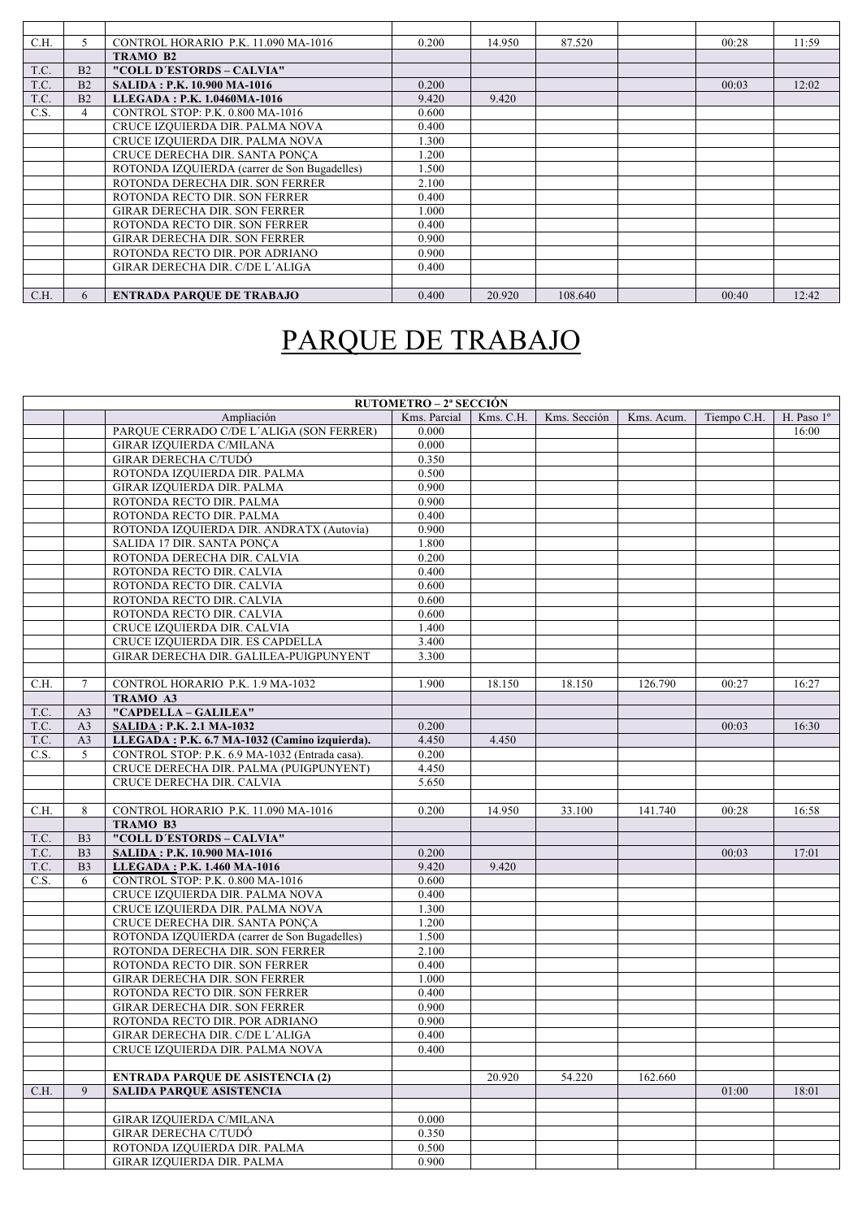| C.H. |                | CONTROL HORARIO P.K. 11.090 MA-1016          | 0.200 | 14.950 | 87.520  | 00:28 | 11:59 |
|------|----------------|----------------------------------------------|-------|--------|---------|-------|-------|
|      |                | TRAMO B2                                     |       |        |         |       |       |
| T.C. | B <sub>2</sub> | "COLL D'ESTORDS - CALVIA"                    |       |        |         |       |       |
| T.C. | B2             | <b>SALIDA: P.K. 10.900 MA-1016</b>           | 0.200 |        |         | 00:03 | 12:02 |
| T.C. | B <sub>2</sub> | LLEGADA: P.K. 1.0460MA-1016                  | 9.420 | 9.420  |         |       |       |
| C.S. |                | CONTROL STOP: P.K. 0.800 MA-1016             | 0.600 |        |         |       |       |
|      |                | CRUCE IZQUIERDA DIR. PALMA NOVA              | 0.400 |        |         |       |       |
|      |                | CRUCE IZQUIERDA DIR. PALMA NOVA              | 1.300 |        |         |       |       |
|      |                | CRUCE DERECHA DIR. SANTA PONCA               | 1.200 |        |         |       |       |
|      |                | ROTONDA IZQUIERDA (carrer de Son Bugadelles) | .500  |        |         |       |       |
|      |                | ROTONDA DERECHA DIR. SON FERRER              | 2.100 |        |         |       |       |
|      |                | ROTONDA RECTO DIR. SON FERRER                | 0.400 |        |         |       |       |
|      |                | GIRAR DERECHA DIR. SON FERRER                | 1.000 |        |         |       |       |
|      |                | ROTONDA RECTO DIR. SON FERRER                | 0.400 |        |         |       |       |
|      |                | <b>GIRAR DERECHA DIR. SON FERRER</b>         | 0.900 |        |         |       |       |
|      |                | ROTONDA RECTO DIR. POR ADRIANO               | 0.900 |        |         |       |       |
|      |                | GIRAR DERECHA DIR. C/DE L'ALIGA              | 0.400 |        |         |       |       |
|      |                |                                              |       |        |         |       |       |
| C.H. | 6              | <b>ENTRADA PAROUE DE TRABAJO</b>             | 0.400 | 20.920 | 108.640 | 00:40 | 12:42 |

## PARQUE DE TRABAJO

|      | RUTOMETRO – 2ª SECCIÓN |                                                                                 |                |           |              |            |             |            |
|------|------------------------|---------------------------------------------------------------------------------|----------------|-----------|--------------|------------|-------------|------------|
|      |                        | Ampliación                                                                      | Kms. Parcial   | Kms. C.H. | Kms. Sección | Kms. Acum. | Tiempo C.H. | H. Paso 1° |
|      |                        | PARQUE CERRADO C/DE L'ALIGA (SON FERRER)                                        | 0.000          |           |              |            |             | 16:00      |
|      |                        | GIRAR IZQUIERDA C/MILANA                                                        | 0.000          |           |              |            |             |            |
|      |                        | <b>GIRAR DERECHA C/TUDÓ</b>                                                     | 0.350          |           |              |            |             |            |
|      |                        | ROTONDA IZQUIERDA DIR. PALMA                                                    | 0.500          |           |              |            |             |            |
|      |                        | GIRAR IZQUIERDA DIR. PALMA                                                      | 0.900          |           |              |            |             |            |
|      |                        | ROTONDA RECTO DIR. PALMA                                                        | 0.900          |           |              |            |             |            |
|      |                        | ROTONDA RECTO DIR. PALMA                                                        | 0.400          |           |              |            |             |            |
|      |                        | ROTONDA IZQUIERDA DIR. ANDRATX (Autovía)                                        | 0.900          |           |              |            |             |            |
|      |                        | SALIDA 17 DIR. SANTA PONCA                                                      | 1.800          |           |              |            |             |            |
|      |                        | ROTONDA DERECHA DIR. CALVIA                                                     | 0.200          |           |              |            |             |            |
|      |                        | ROTONDA RECTO DIR. CALVIA                                                       | 0.400          |           |              |            |             |            |
|      |                        | ROTONDA RECTO DIR. CALVIA                                                       | 0.600          |           |              |            |             |            |
|      |                        | ROTONDA RECTO DIR. CALVIA                                                       | 0.600          |           |              |            |             |            |
|      |                        | ROTONDA RECTO DIR. CALVIA                                                       | 0.600          |           |              |            |             |            |
|      |                        | CRUCE IZQUIERDA DIR. CALVIA                                                     | 1.400          |           |              |            |             |            |
|      |                        | CRUCE IZQUIERDA DIR. ES CAPDELLA                                                | 3.400          |           |              |            |             |            |
|      |                        | GIRAR DERECHA DIR. GALILEA-PUIGPUNYENT                                          | 3.300          |           |              |            |             |            |
|      |                        |                                                                                 |                |           |              |            |             |            |
| C.H. | $\tau$                 | CONTROL HORARIO P.K. 1.9 MA-1032                                                | 1.900          | 18.150    | 18.150       | 126.790    | 00:27       | 16:27      |
|      |                        | TRAMO A3                                                                        |                |           |              |            |             |            |
| T.C. | A <sub>3</sub>         | "CAPDELLA - GALILEA"                                                            |                |           |              |            |             |            |
| T.C. | A <sub>3</sub>         | <b>SALIDA: P.K. 2.1 MA-1032</b>                                                 | 0.200          |           |              |            | 00:03       | 16:30      |
| T.C. | A <sub>3</sub>         | LLEGADA: P.K. 6.7 MA-1032 (Camino izquierda).                                   | 4.450          | 4.450     |              |            |             |            |
| C.S. | 5                      | CONTROL STOP: P.K. 6.9 MA-1032 (Entrada casa).                                  | 0.200          |           |              |            |             |            |
|      |                        | CRUCE DERECHA DIR. PALMA (PUIGPUNYENT)                                          | 4.450          |           |              |            |             |            |
|      |                        | CRUCE DERECHA DIR. CALVIA                                                       | 5.650          |           |              |            |             |            |
|      |                        |                                                                                 |                |           |              |            |             |            |
| C.H. | 8                      | CONTROL HORARIO P.K. 11.090 MA-1016                                             | 0.200          | 14.950    | 33.100       | 141.740    | 00:28       | 16:58      |
|      |                        | TRAMO B3                                                                        |                |           |              |            |             |            |
| T.C. | B <sub>3</sub>         | "COLL D'ESTORDS - CALVIA"                                                       |                |           |              |            |             |            |
| T.C. | B <sub>3</sub>         | SALIDA: P.K. 10.900 MA-1016                                                     | 0.200          |           |              |            | 00:03       | 17:01      |
| T.C. | B <sub>3</sub>         | LLEGADA: P.K. 1.460 MA-1016                                                     | 9.420          | 9.420     |              |            |             |            |
| C.S. | 6                      | CONTROL STOP: P.K. 0.800 MA-1016                                                | 0.600          |           |              |            |             |            |
|      |                        | CRUCE IZQUIERDA DIR. PALMA NOVA                                                 | 0.400          |           |              |            |             |            |
|      |                        | CRUCE IZQUIERDA DIR. PALMA NOVA                                                 | 1.300          |           |              |            |             |            |
|      |                        | CRUCE DERECHA DIR. SANTA PONÇA                                                  | 1.200<br>1.500 |           |              |            |             |            |
|      |                        | ROTONDA IZQUIERDA (carrer de Son Bugadelles)<br>ROTONDA DERECHA DIR. SON FERRER | 2.100          |           |              |            |             |            |
|      |                        | ROTONDA RECTO DIR. SON FERRER                                                   | 0.400          |           |              |            |             |            |
|      |                        | GIRAR DERECHA DIR. SON FERRER                                                   | 1.000          |           |              |            |             |            |
|      |                        | ROTONDA RECTO DIR. SON FERRER                                                   | 0.400          |           |              |            |             |            |
|      |                        | GIRAR DERECHA DIR. SON FERRER                                                   | 0.900          |           |              |            |             |            |
|      |                        | ROTONDA RECTO DIR. POR ADRIANO                                                  | 0.900          |           |              |            |             |            |
|      |                        | GIRAR DERECHA DIR. C/DE L'ALIGA                                                 | 0.400          |           |              |            |             |            |
|      |                        | CRUCE IZQUIERDA DIR. PALMA NOVA                                                 | 0.400          |           |              |            |             |            |
|      |                        |                                                                                 |                |           |              |            |             |            |
|      |                        | <b>ENTRADA PARQUE DE ASISTENCIA (2)</b>                                         |                | 20.920    | 54.220       | 162.660    |             |            |
| C.H. | 9                      | <b>SALIDA PARQUE ASISTENCIA</b>                                                 |                |           |              |            | 01:00       | 18:01      |
|      |                        |                                                                                 |                |           |              |            |             |            |
|      |                        | GIRAR IZQUIERDA C/MILANA                                                        | 0.000          |           |              |            |             |            |
|      |                        | <b>GIRAR DERECHA C/TUDÓ</b>                                                     | 0.350          |           |              |            |             |            |
|      |                        | ROTONDA IZQUIERDA DIR. PALMA                                                    | 0.500          |           |              |            |             |            |
|      |                        | GIRAR IZOUIERDA DIR. PALMA                                                      | 0.900          |           |              |            |             |            |
|      |                        |                                                                                 |                |           |              |            |             |            |